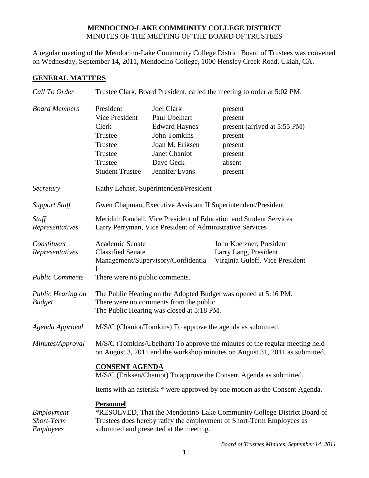## **MENDOCINO-LAKE COMMUNITY COLLEGE DISTRICT** MINUTES OF THE MEETING OF THE BOARD OF TRUSTEES

A regular meeting of the Mendocino-Lake Community College District Board of Trustees was convened on Wednesday, September 14, 2011, Mendocino College, 1000 Hensley Creek Road, Ukiah, CA.

## **GENERAL MATTERS**

| Trustee Clark, Board President, called the meeting to order at 5:02 PM.                                                                                                                                        |                                                                                                                                                      |                                                                                                                                    |
|----------------------------------------------------------------------------------------------------------------------------------------------------------------------------------------------------------------|------------------------------------------------------------------------------------------------------------------------------------------------------|------------------------------------------------------------------------------------------------------------------------------------|
| President<br>Vice President<br>Clerk<br>Trustee<br>Trustee<br>Trustee<br>Trustee<br><b>Student Trustee</b>                                                                                                     | <b>Joel Clark</b><br>Paul Ubelhart<br><b>Edward Haynes</b><br><b>John Tomkins</b><br>Joan M. Eriksen<br>Janet Chaniot<br>Dave Geck<br>Jennifer Evans | present<br>present<br>present (arrived at 5:55 PM)<br>present<br>present<br>present<br>absent<br>present                           |
| Kathy Lehner, Superintendent/President                                                                                                                                                                         |                                                                                                                                                      |                                                                                                                                    |
| Gwen Chapman, Executive Assistant II Superintendent/President                                                                                                                                                  |                                                                                                                                                      |                                                                                                                                    |
| Meridith Randall, Vice President of Education and Student Services<br>Larry Perryman, Vice President of Administrative Services                                                                                |                                                                                                                                                      |                                                                                                                                    |
| Academic Senate<br><b>Classified Senate</b>                                                                                                                                                                    |                                                                                                                                                      | John Koetzner, President<br>Larry Lang, President<br>Virginia Guleff, Vice President                                               |
| There were no public comments.                                                                                                                                                                                 |                                                                                                                                                      |                                                                                                                                    |
| The Public Hearing on the Adopted Budget was opened at 5:16 PM.<br>There were no comments from the public.<br>The Public Hearing was closed at 5:18 PM.                                                        |                                                                                                                                                      |                                                                                                                                    |
| M/S/C (Chaniot/Tomkins) To approve the agenda as submitted.                                                                                                                                                    |                                                                                                                                                      |                                                                                                                                    |
| M/S/C (Tomkins/Ubelhart) To approve the minutes of the regular meeting held<br>on August 3, 2011 and the workshop minutes on August 31, 2011 as submitted.                                                     |                                                                                                                                                      |                                                                                                                                    |
|                                                                                                                                                                                                                |                                                                                                                                                      |                                                                                                                                    |
| Items with an asterisk * were approved by one motion as the Consent Agenda.                                                                                                                                    |                                                                                                                                                      |                                                                                                                                    |
| <b>Personnel</b><br>*RESOLVED, That the Mendocino-Lake Community College District Board of<br>Trustees does hereby ratify the employment of Short-Term Employees as<br>submitted and presented at the meeting. |                                                                                                                                                      |                                                                                                                                    |
|                                                                                                                                                                                                                |                                                                                                                                                      | Management/Supervisory/Confidentia<br><b>CONSENT AGENDA</b><br>M/S/C (Eriksen/Chaniot) To approve the Consent Agenda as submitted. |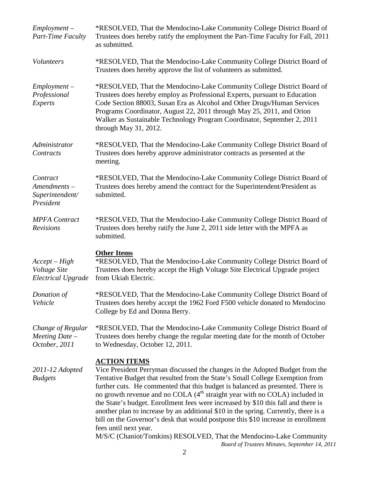| $Employment -$<br>Part-Time Faculty                        | *RESOLVED, That the Mendocino-Lake Community College District Board of<br>Trustees does hereby ratify the employment the Part-Time Faculty for Fall, 2011<br>as submitted.                                                                                                                                                                                                                                                                                                                                                                                                                                                                                                                                                                                                       |
|------------------------------------------------------------|----------------------------------------------------------------------------------------------------------------------------------------------------------------------------------------------------------------------------------------------------------------------------------------------------------------------------------------------------------------------------------------------------------------------------------------------------------------------------------------------------------------------------------------------------------------------------------------------------------------------------------------------------------------------------------------------------------------------------------------------------------------------------------|
| Volunteers                                                 | *RESOLVED, That the Mendocino-Lake Community College District Board of<br>Trustees does hereby approve the list of volunteers as submitted.                                                                                                                                                                                                                                                                                                                                                                                                                                                                                                                                                                                                                                      |
| $Employment -$<br>Professional<br>Experts                  | *RESOLVED, That the Mendocino-Lake Community College District Board of<br>Trustees does hereby employ as Professional Experts, pursuant to Education<br>Code Section 88003, Susan Era as Alcohol and Other Drugs/Human Services<br>Programs Coordinator, August 22, 2011 through May 25, 2011, and Orion<br>Walker as Sustainable Technology Program Coordinator, September 2, 2011<br>through May $31, 2012$ .                                                                                                                                                                                                                                                                                                                                                                  |
| Administrator<br>Contracts                                 | *RESOLVED, That the Mendocino-Lake Community College District Board of<br>Trustees does hereby approve administrator contracts as presented at the<br>meeting.                                                                                                                                                                                                                                                                                                                                                                                                                                                                                                                                                                                                                   |
| Contract<br>Amendments-<br>Superintendent/<br>President    | *RESOLVED, That the Mendocino-Lake Community College District Board of<br>Trustees does hereby amend the contract for the Superintendent/President as<br>submitted.                                                                                                                                                                                                                                                                                                                                                                                                                                                                                                                                                                                                              |
| <b>MPFA</b> Contract<br><b>Revisions</b>                   | *RESOLVED, That the Mendocino-Lake Community College District Board of<br>Trustees does hereby ratify the June 2, 2011 side letter with the MPFA as<br>submitted.                                                                                                                                                                                                                                                                                                                                                                                                                                                                                                                                                                                                                |
| $Accept-High$<br>Voltage Site<br><b>Electrical Upgrade</b> | <b>Other Items</b><br>*RESOLVED, That the Mendocino-Lake Community College District Board of<br>Trustees does hereby accept the High Voltage Site Electrical Upgrade project<br>from Ukiah Electric.                                                                                                                                                                                                                                                                                                                                                                                                                                                                                                                                                                             |
| Donation of<br>Vehicle                                     | *RESOLVED, That the Mendocino-Lake Community College District Board of<br>Trustees does hereby accept the 1962 Ford F500 vehicle donated to Mendocino<br>College by Ed and Donna Berry.                                                                                                                                                                                                                                                                                                                                                                                                                                                                                                                                                                                          |
| Change of Regular<br>Meeting Date $-$<br>October, 2011     | *RESOLVED, That the Mendocino-Lake Community College District Board of<br>Trustees does hereby change the regular meeting date for the month of October<br>to Wednesday, October 12, 2011.                                                                                                                                                                                                                                                                                                                                                                                                                                                                                                                                                                                       |
| 2011-12 Adopted<br><b>Budgets</b>                          | <b>ACTION ITEMS</b><br>Vice President Perryman discussed the changes in the Adopted Budget from the<br>Tentative Budget that resulted from the State's Small College Exemption from<br>further cuts. He commented that this budget is balanced as presented. There is<br>no growth revenue and no COLA (4 <sup>th</sup> straight year with no COLA) included in<br>the State's budget. Enrollment fees were increased by \$10 this fall and there is<br>another plan to increase by an additional \$10 in the spring. Currently, there is a<br>bill on the Governor's desk that would postpone this \$10 increase in enrollment<br>fees until next year.<br>M/S/C (Chaniot/Tomkins) RESOLVED, That the Mendocino-Lake Community<br>Board of Trustees Minutes, September 14, 2011 |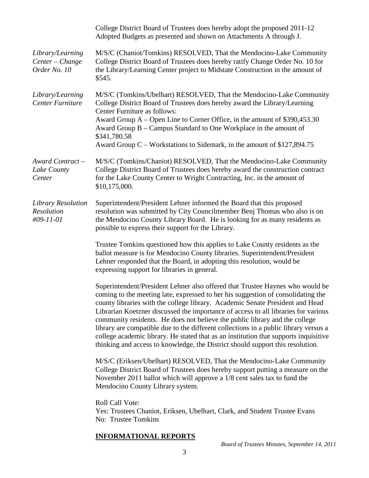|                                                     | College District Board of Trustees does hereby adopt the proposed 2011-12<br>Adopted Budgets as presented and shown on Attachments A through J.                                                                                                                                                                                                                                                                                                                                                                                                                                                                                                                                           |
|-----------------------------------------------------|-------------------------------------------------------------------------------------------------------------------------------------------------------------------------------------------------------------------------------------------------------------------------------------------------------------------------------------------------------------------------------------------------------------------------------------------------------------------------------------------------------------------------------------------------------------------------------------------------------------------------------------------------------------------------------------------|
| Library/Learning<br>Center - Change<br>Order No. 10 | M/S/C (Chaniot/Tomkins) RESOLVED, That the Mendocino-Lake Community<br>College District Board of Trustees does hereby ratify Change Order No. 10 for<br>the Library/Learning Center project to Midstate Construction in the amount of<br>\$545.                                                                                                                                                                                                                                                                                                                                                                                                                                           |
| Library/Learning<br>Center Furniture                | M/S/C (Tomkins/Ubelhart) RESOLVED, That the Mendocino-Lake Community<br>College District Board of Trustees does hereby award the Library/Learning<br>Center Furniture as follows:<br>Award Group $A -$ Open Line to Corner Office, in the amount of \$390,453.30<br>Award Group B – Campus Standard to One Workplace in the amount of<br>\$341,780.58<br>Award Group C – Workstations to Sidemark, in the amount of \$127,894.75                                                                                                                                                                                                                                                          |
| Award Contract-<br>Lake County<br>Center            | M/S/C (Tomkins/Chaniot) RESOLVED, That the Mendocino-Lake Community<br>College District Board of Trustees does hereby award the construction contract<br>for the Lake County Center to Wright Contracting, Inc. in the amount of<br>\$10,175,000.                                                                                                                                                                                                                                                                                                                                                                                                                                         |
| Library Resolution<br>Resolution<br>#09-11-01       | Superintendent/President Lehner informed the Board that this proposed<br>resolution was submitted by City Councilmember Benj Thomas who also is on<br>the Mendocino County Library Board. He is looking for as many residents as<br>possible to express their support for the Library.                                                                                                                                                                                                                                                                                                                                                                                                    |
|                                                     | Trustee Tomkins questioned how this applies to Lake County residents as the<br>ballot measure is for Mendocino County libraries. Superintendent/President<br>Lehner responded that the Board, in adopting this resolution, would be<br>expressing support for libraries in general.                                                                                                                                                                                                                                                                                                                                                                                                       |
|                                                     | Superintendent/President Lehner also offered that Trustee Haynes who would be<br>coming to the meeting late, expressed to her his suggestion of consolidating the<br>county libraries with the college library. Academic Senate President and Head<br>Librarian Koetzner discussed the importance of access to all libraries for various<br>community residents. He does not believe the public library and the college<br>library are compatible due to the different collections in a public library versus a<br>college academic library. He stated that as an institution that supports inquisitive<br>thinking and access to knowledge, the District should support this resolution. |
|                                                     | M/S/C (Eriksen/Ubelhart) RESOLVED, That the Mendocino-Lake Community<br>College District Board of Trustees does hereby support putting a measure on the<br>November 2011 ballot which will approve a 1/8 cent sales tax to fund the<br>Mendocino County Library system.                                                                                                                                                                                                                                                                                                                                                                                                                   |
|                                                     | Roll Call Vote:<br>Yes: Trustees Chaniot, Eriksen, Ubelhart, Clark, and Student Trustee Evans<br>No: Trustee Tomkins                                                                                                                                                                                                                                                                                                                                                                                                                                                                                                                                                                      |
|                                                     | <b>INFORMATIONAL REPORTS</b>                                                                                                                                                                                                                                                                                                                                                                                                                                                                                                                                                                                                                                                              |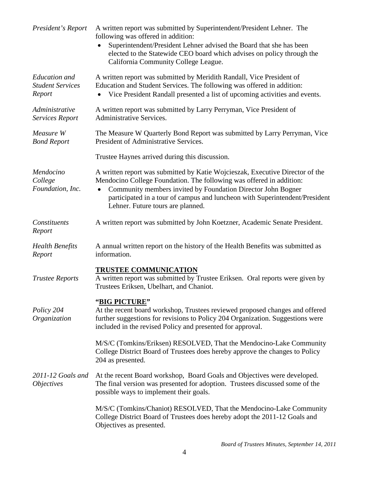| President's Report                                 | A written report was submitted by Superintendent/President Lehner. The<br>following was offered in addition:<br>Superintendent/President Lehner advised the Board that she has been<br>elected to the Statewide CEO board which advises on policy through the<br>California Community College League.                                     |
|----------------------------------------------------|-------------------------------------------------------------------------------------------------------------------------------------------------------------------------------------------------------------------------------------------------------------------------------------------------------------------------------------------|
| Education and<br><b>Student Services</b><br>Report | A written report was submitted by Meridith Randall, Vice President of<br>Education and Student Services. The following was offered in addition:<br>Vice President Randall presented a list of upcoming activities and events.                                                                                                             |
| Administrative<br><b>Services Report</b>           | A written report was submitted by Larry Perryman, Vice President of<br>Administrative Services.                                                                                                                                                                                                                                           |
| Measure W<br><b>Bond Report</b>                    | The Measure W Quarterly Bond Report was submitted by Larry Perryman, Vice<br>President of Administrative Services.                                                                                                                                                                                                                        |
|                                                    | Trustee Haynes arrived during this discussion.                                                                                                                                                                                                                                                                                            |
| Mendocino<br>College<br>Foundation, Inc.           | A written report was submitted by Katie Wojcieszak, Executive Director of the<br>Mendocino College Foundation. The following was offered in addition:<br>Community members invited by Foundation Director John Bogner<br>participated in a tour of campus and luncheon with Superintendent/President<br>Lehner. Future tours are planned. |
| Constituents<br>Report                             | A written report was submitted by John Koetzner, Academic Senate President.                                                                                                                                                                                                                                                               |
| <b>Health Benefits</b><br>Report                   | A annual written report on the history of the Health Benefits was submitted as<br>information.                                                                                                                                                                                                                                            |
| <b>Trustee Reports</b>                             | <b>TRUSTEE COMMUNICATION</b><br>A written report was submitted by Trustee Eriksen. Oral reports were given by<br>Trustees Eriksen, Ubelhart, and Chaniot.                                                                                                                                                                                 |
| Policy 204<br>Organization                         | "BIG PICTURE"<br>At the recent board workshop, Trustees reviewed proposed changes and offered<br>further suggestions for revisions to Policy 204 Organization. Suggestions were<br>included in the revised Policy and presented for approval.                                                                                             |
|                                                    | M/S/C (Tomkins/Eriksen) RESOLVED, That the Mendocino-Lake Community<br>College District Board of Trustees does hereby approve the changes to Policy<br>204 as presented.                                                                                                                                                                  |
| 2011-12 Goals and<br><i>Objectives</i>             | At the recent Board workshop, Board Goals and Objectives were developed.<br>The final version was presented for adoption. Trustees discussed some of the<br>possible ways to implement their goals.                                                                                                                                       |
|                                                    | M/S/C (Tomkins/Chaniot) RESOLVED, That the Mendocino-Lake Community<br>College District Board of Trustees does hereby adopt the 2011-12 Goals and<br>Objectives as presented.                                                                                                                                                             |